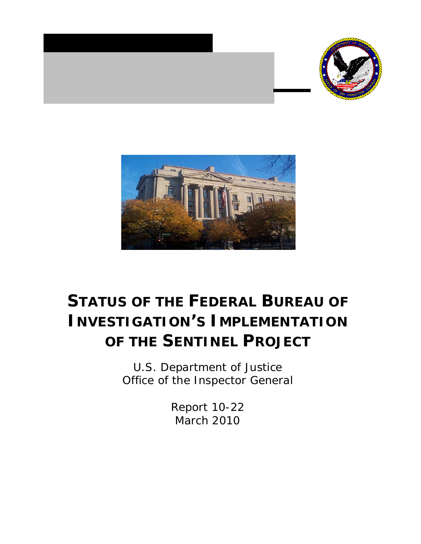



# **[STATUS OF THE FEDERAL BUREAU OF](http://www.justice.gov/oig/recovery/docs/DataQualityProcedures.pdf)  INVESTIGATION'S IMPLEMENTATION [OF THE SENTINEL PROJECT](http://www.justice.gov/oig/recovery/docs/DataQualityProcedures.pdf)**

U.S. Department of Justice Office of the Inspector General

> Report 10-22 March 2010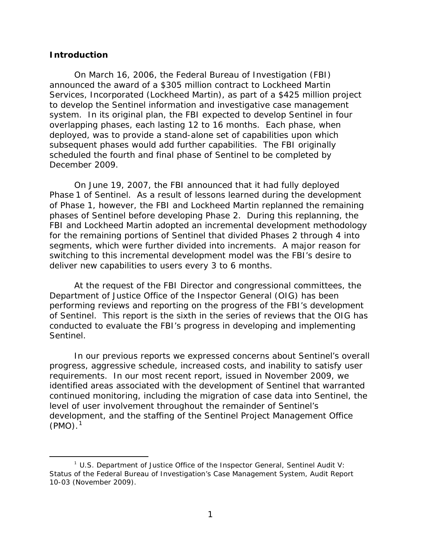#### **Introduction**

On March 16, 2006, the Federal Bureau of Investigation (FBI) announced the award of a \$305 million contract to Lockheed Martin Services, Incorporated (Lockheed Martin), as part of a \$425 million project to develop the Sentinel information and investigative case management system. In its original plan, the FBI expected to develop Sentinel in four overlapping phases, each lasting 12 to 16 months. Each phase, when deployed, was to provide a stand-alone set of capabilities upon which subsequent phases would add further capabilities. The FBI originally scheduled the fourth and final phase of Sentinel to be completed by December 2009.

On June 19, 2007, the FBI announced that it had fully deployed Phase 1 of Sentinel. As a result of lessons learned during the development of Phase 1, however, the FBI and Lockheed Martin replanned the remaining phases of Sentinel before developing Phase 2. During this replanning, the FBI and Lockheed Martin adopted an incremental development methodology for the remaining portions of Sentinel that divided Phases 2 through 4 into segments, which were further divided into increments. A major reason for switching to this incremental development model was the FBI's desire to deliver new capabilities to users every 3 to 6 months.

At the request of the FBI Director and congressional committees, the Department of Justice Office of the Inspector General (OIG) has been performing reviews and reporting on the progress of the FBI's development of Sentinel. This report is the sixth in the series of reviews that the OIG has conducted to evaluate the FBI's progress in developing and implementing Sentinel.

In our previous reports we expressed concerns about Sentinel's overall progress, aggressive schedule, increased costs, and inability to satisfy user requirements. In our most recent report, issued in November 2009, we identified areas associated with the development of Sentinel that warranted continued monitoring, including the migration of case data into Sentinel, the level of user involvement throughout the remainder of Sentinel's development, and the staffing of the Sentinel Project Management Office  $(PMO).<sup>1</sup>$  $(PMO).<sup>1</sup>$  $(PMO).<sup>1</sup>$ 

<span id="page-1-0"></span> $\frac{1}{1}$  U.S. Department of Justice Office of the Inspector General, *Sentinel Audit V: Status of the Federal Bureau of Investigation's Case Management System,* Audit Report 10-03 (November 2009).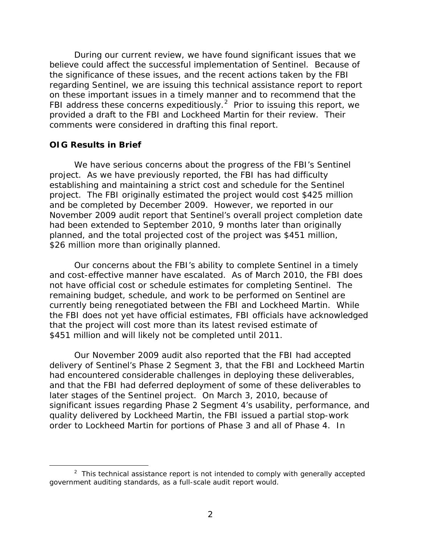During our current review, we have found significant issues that we believe could affect the successful implementation of Sentinel. Because of the significance of these issues, and the recent actions taken by the FBI regarding Sentinel, we are issuing this technical assistance report to report on these important issues in a timely manner and to recommend that the FBI address these concerns expeditiously.<sup>[2](#page-2-0)</sup> Prior to issuing this report, we provided a draft to the FBI and Lockheed Martin for their review. Their comments were considered in drafting this final report.

#### **OIG Results in Brief**

l

We have serious concerns about the progress of the FBI's Sentinel project. As we have previously reported, the FBI has had difficulty establishing and maintaining a strict cost and schedule for the Sentinel project. The FBI originally estimated the project would cost \$425 million and be completed by December 2009. However, we reported in our November 2009 audit report that Sentinel's overall project completion date had been extended to September 2010, 9 months later than originally planned, and the total projected cost of the project was \$451 million, \$26 million more than originally planned.

Our concerns about the FBI's ability to complete Sentinel in a timely and cost-effective manner have escalated. As of March 2010, the FBI does not have official cost or schedule estimates for completing Sentinel. The remaining budget, schedule, and work to be performed on Sentinel are currently being renegotiated between the FBI and Lockheed Martin. While the FBI does not yet have official estimates, FBI officials have acknowledged that the project will cost more than its latest revised estimate of \$451 million and will likely not be completed until 2011.

Our November 2009 audit also reported that the FBI had accepted delivery of Sentinel's Phase 2 Segment 3, that the FBI and Lockheed Martin had encountered considerable challenges in deploying these deliverables, and that the FBI had deferred deployment of some of these deliverables to later stages of the Sentinel project. On March 3, 2010, because of significant issues regarding Phase 2 Segment 4's usability, performance, and quality delivered by Lockheed Martin, the FBI issued a partial stop-work order to Lockheed Martin for portions of Phase 3 and all of Phase 4. In

<span id="page-2-0"></span> $2$  This technical assistance report is not intended to comply with generally accepted government auditing standards, as a full-scale audit report would.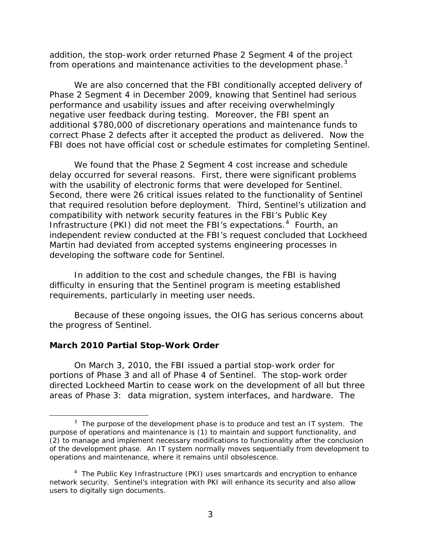addition, the stop-work order returned Phase 2 Segment 4 of the project from operations and maintenance activities to the development phase.<sup>[3](#page-3-0)</sup>

We are also concerned that the FBI conditionally accepted delivery of Phase 2 Segment 4 in December 2009, knowing that Sentinel had serious performance and usability issues and after receiving overwhelmingly negative user feedback during testing. Moreover, the FBI spent an additional \$780,000 of discretionary operations and maintenance funds to correct Phase 2 defects after it accepted the product as delivered. Now the FBI does not have official cost or schedule estimates for completing Sentinel.

We found that the Phase 2 Segment 4 cost increase and schedule delay occurred for several reasons. First, there were significant problems with the usability of electronic forms that were developed for Sentinel. Second, there were 26 critical issues related to the functionality of Sentinel that required resolution before deployment. Third, Sentinel's utilization and compatibility with network security features in the FBI's Public Key Infrastructure (PKI) did not meet the FBI's expectations. [4](#page-3-1) Fourth, an independent review conducted at the FBI's request concluded that Lockheed Martin had deviated from accepted systems engineering processes in developing the software code for Sentinel.

In addition to the cost and schedule changes, the FBI is having difficulty in ensuring that the Sentinel program is meeting established requirements, particularly in meeting user needs.

Because of these ongoing issues, the OIG has serious concerns about the progress of Sentinel.

## **March 2010 Partial Stop-Work Order**

l

On March 3, 2010, the FBI issued a partial stop-work order for portions of Phase 3 and all of Phase 4 of Sentinel. The stop-work order directed Lockheed Martin to cease work on the development of all but three areas of Phase 3: data migration, system interfaces, and hardware. The

<span id="page-3-0"></span> $3$  The purpose of the development phase is to produce and test an IT system. The purpose of operations and maintenance is (1) to maintain and support functionality, and (2) to manage and implement necessary modifications to functionality after the conclusion of the development phase. An IT system normally moves sequentially from development to operations and maintenance, where it remains until obsolescence.

<span id="page-3-1"></span><sup>4</sup> The Public Key Infrastructure (PKI) uses smartcards and encryption to enhance network security. Sentinel's integration with PKI will enhance its security and also allow users to digitally sign documents.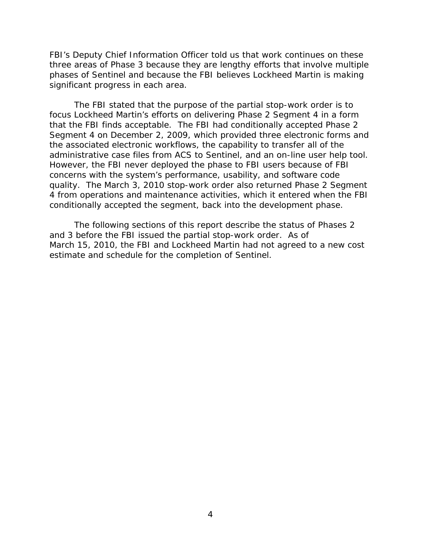FBI's Deputy Chief Information Officer told us that work continues on these three areas of Phase 3 because they are lengthy efforts that involve multiple phases of Sentinel and because the FBI believes Lockheed Martin is making significant progress in each area.

The FBI stated that the purpose of the partial stop-work order is to focus Lockheed Martin's efforts on delivering Phase 2 Segment 4 in a form that the FBI finds acceptable. The FBI had conditionally accepted Phase 2 Segment 4 on December 2, 2009, which provided three electronic forms and the associated electronic workflows, the capability to transfer all of the administrative case files from ACS to Sentinel, and an on-line user help tool. However, the FBI never deployed the phase to FBI users because of FBI concerns with the system's performance, usability, and software code quality. The March 3, 2010 stop-work order also returned Phase 2 Segment 4 from operations and maintenance activities, which it entered when the FBI conditionally accepted the segment, back into the development phase.

The following sections of this report describe the status of Phases 2 and 3 before the FBI issued the partial stop-work order. As of March 15, 2010, the FBI and Lockheed Martin had not agreed to a new cost estimate and schedule for the completion of Sentinel.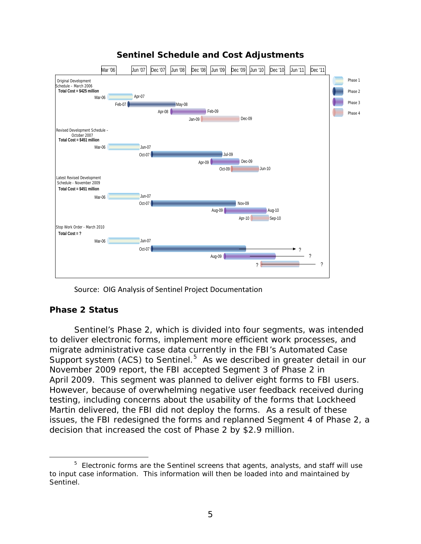

# **Sentinel Schedule and Cost Adjustments**

Source: OIG Analysis of Sentinel Project Documentation

# **Phase 2 Status**

l

Sentinel's Phase 2, which is divided into four segments, was intended to deliver electronic forms, implement more efficient work processes, and migrate administrative case data currently in the FBI's Automated Case Support system (ACS) to Sentinel.<sup>[5](#page-5-0)</sup> As we described in greater detail in our November 2009 report, the FBI accepted Segment 3 of Phase 2 in April 2009. This segment was planned to deliver eight forms to FBI users. However, because of overwhelming negative user feedback received during testing, including concerns about the usability of the forms that Lockheed Martin delivered, the FBI did not deploy the forms. As a result of these issues, the FBI redesigned the forms and replanned Segment 4 of Phase 2, a decision that increased the cost of Phase 2 by \$2.9 million.

<span id="page-5-0"></span><sup>&</sup>lt;sup>5</sup> Electronic forms are the Sentinel screens that agents, analysts, and staff will use to input case information. This information will then be loaded into and maintained by Sentinel.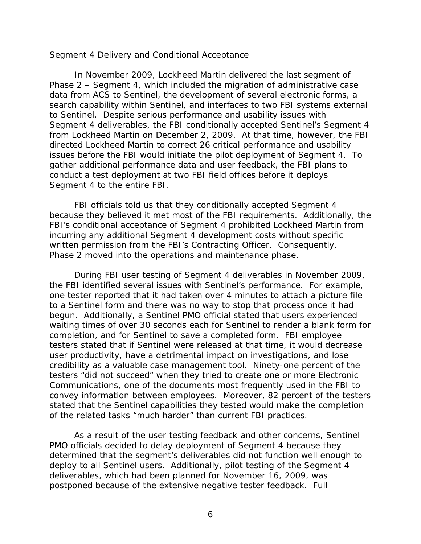#### *Segment 4 Delivery and Conditional Acceptance*

In November 2009, Lockheed Martin delivered the last segment of Phase 2 – Segment 4, which included the migration of administrative case data from ACS to Sentinel, the development of several electronic forms, a search capability within Sentinel, and interfaces to two FBI systems external to Sentinel. Despite serious performance and usability issues with Segment 4 deliverables, the FBI conditionally accepted Sentinel's Segment 4 from Lockheed Martin on December 2, 2009. At that time, however, the FBI directed Lockheed Martin to correct 26 critical performance and usability issues before the FBI would initiate the pilot deployment of Segment 4. To gather additional performance data and user feedback, the FBI plans to conduct a test deployment at two FBI field offices before it deploys Segment 4 to the entire FBI.

FBI officials told us that they conditionally accepted Segment 4 because they believed it met most of the FBI requirements. Additionally, the FBI's conditional acceptance of Segment 4 prohibited Lockheed Martin from incurring any additional Segment 4 development costs without specific written permission from the FBI's Contracting Officer. Consequently, Phase 2 moved into the operations and maintenance phase.

During FBI user testing of Segment 4 deliverables in November 2009, the FBI identified several issues with Sentinel's performance. For example, one tester reported that it had taken over 4 minutes to attach a picture file to a Sentinel form and there was no way to stop that process once it had begun. Additionally, a Sentinel PMO official stated that users experienced waiting times of over 30 seconds each for Sentinel to render a blank form for completion, and for Sentinel to save a completed form. FBI employee testers stated that if Sentinel were released at that time, it would decrease user productivity, have a detrimental impact on investigations, and lose credibility as a valuable case management tool. Ninety-one percent of the testers "did not succeed" when they tried to create one or more Electronic Communications, one of the documents most frequently used in the FBI to convey information between employees. Moreover, 82 percent of the testers stated that the Sentinel capabilities they tested would make the completion of the related tasks "much harder" than current FBI practices.

As a result of the user testing feedback and other concerns, Sentinel PMO officials decided to delay deployment of Segment 4 because they determined that the segment's deliverables did not function well enough to deploy to all Sentinel users. Additionally, pilot testing of the Segment 4 deliverables, which had been planned for November 16, 2009, was postponed because of the extensive negative tester feedback. Full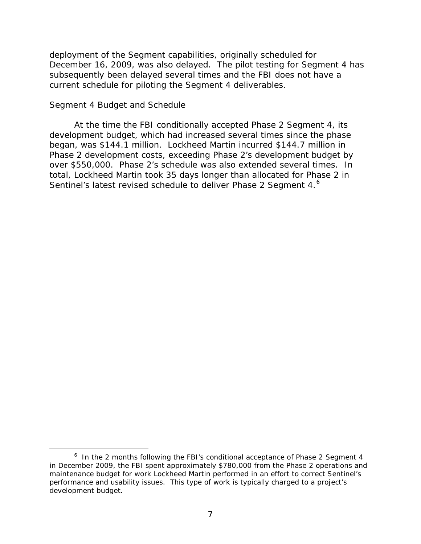deployment of the Segment capabilities, originally scheduled for December 16, 2009, was also delayed. The pilot testing for Segment 4 has subsequently been delayed several times and the FBI does not have a current schedule for piloting the Segment 4 deliverables.

#### *Segment 4 Budget and Schedule*

l

At the time the FBI conditionally accepted Phase 2 Segment 4, its development budget, which had increased several times since the phase began, was \$144.1 million. Lockheed Martin incurred \$144.7 million in Phase 2 development costs, exceeding Phase 2's development budget by over \$550,000. Phase 2's schedule was also extended several times. In total, Lockheed Martin took 35 days longer than allocated for Phase 2 in Sentinel's latest revised schedule to deliver Phase 2 Segment 4.<sup>[6](#page-7-0)</sup>

<span id="page-7-0"></span> $6$  In the 2 months following the FBI's conditional acceptance of Phase 2 Segment 4 in December 2009, the FBI spent approximately \$780,000 from the Phase 2 operations and maintenance budget for work Lockheed Martin performed in an effort to correct Sentinel's performance and usability issues. This type of work is typically charged to a project's development budget.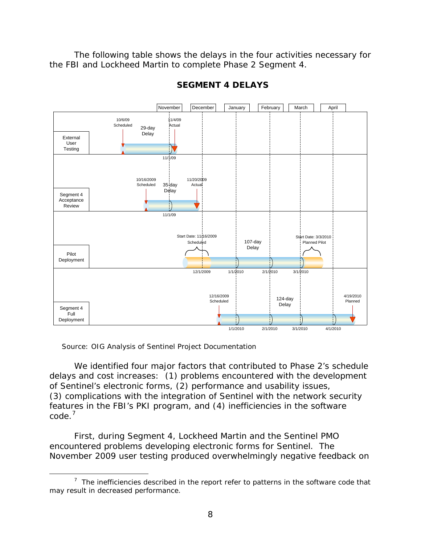The following table shows the delays in the four activities necessary for the FBI and Lockheed Martin to complete Phase 2 Segment 4.



## **SEGMENT 4 DELAYS**

Source: OIG Analysis of Sentinel Project Documentation

l

We identified four major factors that contributed to Phase 2's schedule delays and cost increases: (1) problems encountered with the development of Sentinel's electronic forms, (2) performance and usability issues, (3) complications with the integration of Sentinel with the network security features in the FBI's PKI program, and (4) inefficiencies in the software code. [7](#page-8-0)

First, during Segment 4, Lockheed Martin and the Sentinel PMO encountered problems developing electronic forms for Sentinel. The November 2009 user testing produced overwhelmingly negative feedback on

<span id="page-8-0"></span> $7$  The inefficiencies described in the report refer to patterns in the software code that may result in decreased performance.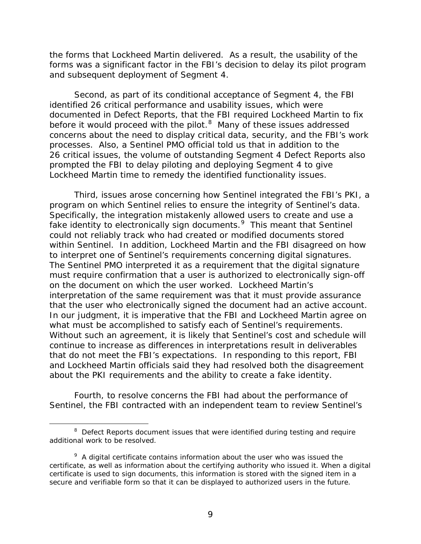the forms that Lockheed Martin delivered. As a result, the usability of the forms was a significant factor in the FBI's decision to delay its pilot program and subsequent deployment of Segment 4.

Second, as part of its conditional acceptance of Segment 4, the FBI identified 26 critical performance and usability issues, which were documented in Defect Reports, that the FBI required Lockheed Martin to fix before it would proceed with the pilot.<sup>[8](#page-9-0)</sup> Many of these issues addressed concerns about the need to display critical data, security, and the FBI's work processes. Also, a Sentinel PMO official told us that in addition to the 26 critical issues, the volume of outstanding Segment 4 Defect Reports also prompted the FBI to delay piloting and deploying Segment 4 to give Lockheed Martin time to remedy the identified functionality issues.

Third, issues arose concerning how Sentinel integrated the FBI's PKI, a program on which Sentinel relies to ensure the integrity of Sentinel's data. Specifically, the integration mistakenly allowed users to create and use a fake identity to electronically sign documents.<sup>[9](#page-9-1)</sup> This meant that Sentinel could not reliably track who had created or modified documents stored within Sentinel. In addition, Lockheed Martin and the FBI disagreed on how to interpret one of Sentinel's requirements concerning digital signatures. The Sentinel PMO interpreted it as a requirement that the digital signature must require confirmation that a user is authorized to electronically sign-off on the document on which the user worked. Lockheed Martin's interpretation of the same requirement was that it must provide assurance that the user who electronically signed the document had an active account. In our judgment, it is imperative that the FBI and Lockheed Martin agree on what must be accomplished to satisfy each of Sentinel's requirements. Without such an agreement, it is likely that Sentinel's cost and schedule will continue to increase as differences in interpretations result in deliverables that do not meet the FBI's expectations. In responding to this report, FBI and Lockheed Martin officials said they had resolved both the disagreement about the PKI requirements and the ability to create a fake identity.

Fourth, to resolve concerns the FBI had about the performance of Sentinel, the FBI contracted with an independent team to review Sentinel's

l

<span id="page-9-0"></span><sup>&</sup>lt;sup>8</sup> Defect Reports document issues that were identified during testing and require additional work to be resolved.

<span id="page-9-1"></span> $9$  A digital certificate contains information about the user who was issued the certificate, as well as information about the certifying authority who issued it. When a digital certificate is used to sign documents, this information is stored with the signed item in a secure and verifiable form so that it can be displayed to authorized users in the future.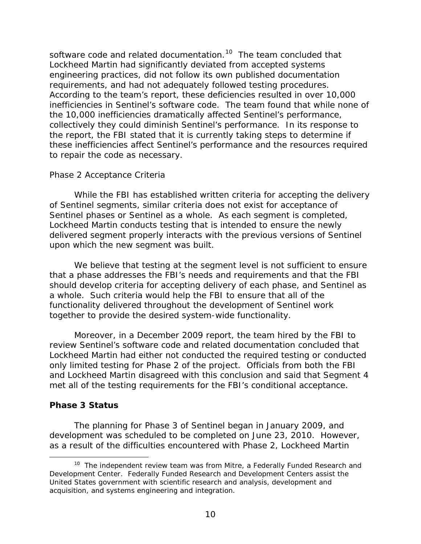software code and related documentation.<sup>[10](#page-10-0)</sup> The team concluded that Lockheed Martin had significantly deviated from accepted systems engineering practices, did not follow its own published documentation requirements, and had not adequately followed testing procedures. According to the team's report, these deficiencies resulted in over 10,000 inefficiencies in Sentinel's software code. The team found that while none of the 10,000 inefficiencies dramatically affected Sentinel's performance, collectively they could diminish Sentinel's performance. In its response to the report, the FBI stated that it is currently taking steps to determine if these inefficiencies affect Sentinel's performance and the resources required to repair the code as necessary.

## *Phase 2 Acceptance Criteria*

While the FBI has established written criteria for accepting the delivery of Sentinel segments, similar criteria does not exist for acceptance of Sentinel phases or Sentinel as a whole. As each segment is completed, Lockheed Martin conducts testing that is intended to ensure the newly delivered segment properly interacts with the previous versions of Sentinel upon which the new segment was built.

We believe that testing at the segment level is not sufficient to ensure that a phase addresses the FBI's needs and requirements and that the FBI should develop criteria for accepting delivery of each phase, and Sentinel as a whole. Such criteria would help the FBI to ensure that all of the functionality delivered throughout the development of Sentinel work together to provide the desired system-wide functionality.

Moreover, in a December 2009 report, the team hired by the FBI to review Sentinel's software code and related documentation concluded that Lockheed Martin had either not conducted the required testing or conducted only limited testing for Phase 2 of the project. Officials from both the FBI and Lockheed Martin disagreed with this conclusion and said that Segment 4 met all of the testing requirements for the FBI's conditional acceptance.

## **Phase 3 Status**

j

The planning for Phase 3 of Sentinel began in January 2009, and development was scheduled to be completed on June 23, 2010. However, as a result of the difficulties encountered with Phase 2, Lockheed Martin

<span id="page-10-0"></span><sup>&</sup>lt;sup>10</sup> The independent review team was from Mitre, a Federally Funded Research and Development Center. Federally Funded Research and Development Centers assist the United States government with scientific research and analysis, development and acquisition, and systems engineering and integration.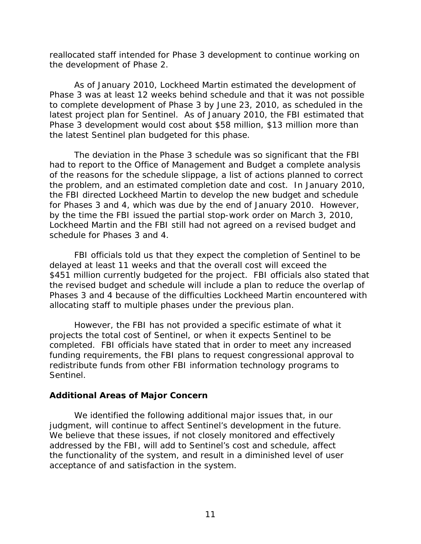reallocated staff intended for Phase 3 development to continue working on the development of Phase 2.

As of January 2010, Lockheed Martin estimated the development of Phase 3 was at least 12 weeks behind schedule and that it was not possible to complete development of Phase 3 by June 23, 2010, as scheduled in the latest project plan for Sentinel. As of January 2010, the FBI estimated that Phase 3 development would cost about \$58 million, \$13 million more than the latest Sentinel plan budgeted for this phase.

The deviation in the Phase 3 schedule was so significant that the FBI had to report to the Office of Management and Budget a complete analysis of the reasons for the schedule slippage, a list of actions planned to correct the problem, and an estimated completion date and cost. In January 2010, the FBI directed Lockheed Martin to develop the new budget and schedule for Phases 3 and 4, which was due by the end of January 2010. However, by the time the FBI issued the partial stop-work order on March 3, 2010, Lockheed Martin and the FBI still had not agreed on a revised budget and schedule for Phases 3 and 4.

FBI officials told us that they expect the completion of Sentinel to be delayed at least 11 weeks and that the overall cost will exceed the \$451 million currently budgeted for the project. FBI officials also stated that the revised budget and schedule will include a plan to reduce the overlap of Phases 3 and 4 because of the difficulties Lockheed Martin encountered with allocating staff to multiple phases under the previous plan.

However, the FBI has not provided a specific estimate of what it projects the total cost of Sentinel, or when it expects Sentinel to be completed. FBI officials have stated that in order to meet any increased funding requirements, the FBI plans to request congressional approval to redistribute funds from other FBI information technology programs to Sentinel.

## **Additional Areas of Major Concern**

We identified the following additional major issues that, in our judgment, will continue to affect Sentinel's development in the future. We believe that these issues, if not closely monitored and effectively addressed by the FBI, will add to Sentinel's cost and schedule, affect the functionality of the system, and result in a diminished level of user acceptance of and satisfaction in the system.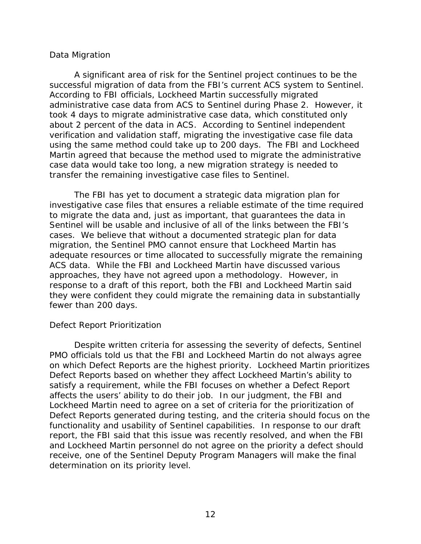## *Data Migration*

A significant area of risk for the Sentinel project continues to be the successful migration of data from the FBI's current ACS system to Sentinel. According to FBI officials, Lockheed Martin successfully migrated administrative case data from ACS to Sentinel during Phase 2. However, it took 4 days to migrate administrative case data, which constituted only about 2 percent of the data in ACS. According to Sentinel independent verification and validation staff, migrating the investigative case file data using the same method could take up to 200 days. The FBI and Lockheed Martin agreed that because the method used to migrate the administrative case data would take too long, a new migration strategy is needed to transfer the remaining investigative case files to Sentinel.

The FBI has yet to document a strategic data migration plan for investigative case files that ensures a reliable estimate of the time required to migrate the data and, just as important, that guarantees the data in Sentinel will be usable and inclusive of all of the links between the FBI's cases. We believe that without a documented strategic plan for data migration, the Sentinel PMO cannot ensure that Lockheed Martin has adequate resources or time allocated to successfully migrate the remaining ACS data. While the FBI and Lockheed Martin have discussed various approaches, they have not agreed upon a methodology. However, in response to a draft of this report, both the FBI and Lockheed Martin said they were confident they could migrate the remaining data in substantially fewer than 200 days.

## *Defect Report Prioritization*

Despite written criteria for assessing the severity of defects, Sentinel PMO officials told us that the FBI and Lockheed Martin do not always agree on which Defect Reports are the highest priority. Lockheed Martin prioritizes Defect Reports based on whether they affect Lockheed Martin's ability to satisfy a requirement, while the FBI focuses on whether a Defect Report affects the users' ability to do their job. In our judgment, the FBI and Lockheed Martin need to agree on a set of criteria for the prioritization of Defect Reports generated during testing, and the criteria should focus on the functionality and usability of Sentinel capabilities. In response to our draft report, the FBI said that this issue was recently resolved, and when the FBI and Lockheed Martin personnel do not agree on the priority a defect should receive, one of the Sentinel Deputy Program Managers will make the final determination on its priority level.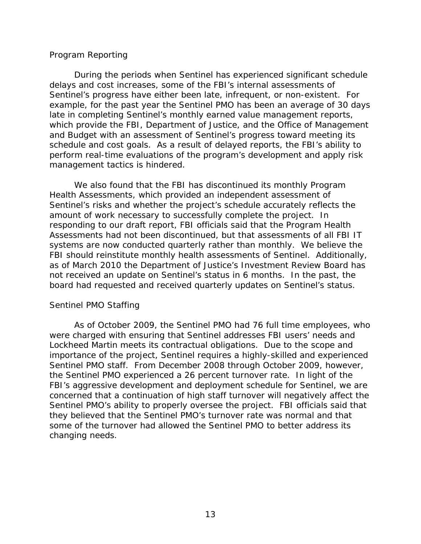#### *Program Reporting*

During the periods when Sentinel has experienced significant schedule delays and cost increases, some of the FBI's internal assessments of Sentinel's progress have either been late, infrequent, or non-existent. For example, for the past year the Sentinel PMO has been an average of 30 days late in completing Sentinel's monthly earned value management reports, which provide the FBI, Department of Justice, and the Office of Management and Budget with an assessment of Sentinel's progress toward meeting its schedule and cost goals. As a result of delayed reports, the FBI's ability to perform real-time evaluations of the program's development and apply risk management tactics is hindered.

We also found that the FBI has discontinued its monthly Program Health Assessments, which provided an independent assessment of Sentinel's risks and whether the project's schedule accurately reflects the amount of work necessary to successfully complete the project. In responding to our draft report, FBI officials said that the Program Health Assessments had not been discontinued, but that assessments of all FBI IT systems are now conducted quarterly rather than monthly. We believe the FBI should reinstitute monthly health assessments of Sentinel. Additionally, as of March 2010 the Department of Justice's Investment Review Board has not received an update on Sentinel's status in 6 months. In the past, the board had requested and received quarterly updates on Sentinel's status.

## *Sentinel PMO Staffing*

As of October 2009, the Sentinel PMO had 76 full time employees, who were charged with ensuring that Sentinel addresses FBI users' needs and Lockheed Martin meets its contractual obligations. Due to the scope and importance of the project, Sentinel requires a highly-skilled and experienced Sentinel PMO staff. From December 2008 through October 2009, however, the Sentinel PMO experienced a 26 percent turnover rate. In light of the FBI's aggressive development and deployment schedule for Sentinel, we are concerned that a continuation of high staff turnover will negatively affect the Sentinel PMO's ability to properly oversee the project. FBI officials said that they believed that the Sentinel PMO's turnover rate was normal and that some of the turnover had allowed the Sentinel PMO to better address its changing needs.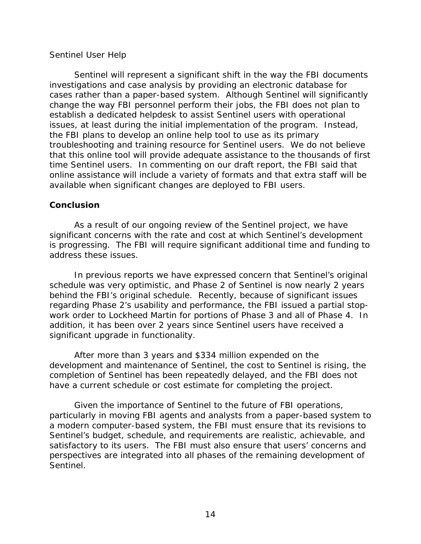#### *Sentinel User Help*

Sentinel will represent a significant shift in the way the FBI documents investigations and case analysis by providing an electronic database for cases rather than a paper-based system. Although Sentinel will significantly change the way FBI personnel perform their jobs, the FBI does not plan to establish a dedicated helpdesk to assist Sentinel users with operational issues, at least during the initial implementation of the program. Instead, the FBI plans to develop an online help tool to use as its primary troubleshooting and training resource for Sentinel users. We do not believe that this online tool will provide adequate assistance to the thousands of first time Sentinel users. In commenting on our draft report, the FBI said that online assistance will include a variety of formats and that extra staff will be available when significant changes are deployed to FBI users.

## **Conclusion**

As a result of our ongoing review of the Sentinel project, we have significant concerns with the rate and cost at which Sentinel's development is progressing. The FBI will require significant additional time and funding to address these issues.

In previous reports we have expressed concern that Sentinel's original schedule was very optimistic, and Phase 2 of Sentinel is now nearly 2 years behind the FBI's original schedule. Recently, because of significant issues regarding Phase 2's usability and performance, the FBI issued a partial stopwork order to Lockheed Martin for portions of Phase 3 and all of Phase 4. In addition, it has been over 2 years since Sentinel users have received a significant upgrade in functionality.

After more than 3 years and \$334 million expended on the development and maintenance of Sentinel, the cost to Sentinel is rising, the completion of Sentinel has been repeatedly delayed, and the FBI does not have a current schedule or cost estimate for completing the project.

Given the importance of Sentinel to the future of FBI operations, particularly in moving FBI agents and analysts from a paper-based system to a modern computer-based system, the FBI must ensure that its revisions to Sentinel's budget, schedule, and requirements are realistic, achievable, and satisfactory to its users. The FBI must also ensure that users' concerns and perspectives are integrated into all phases of the remaining development of Sentinel.